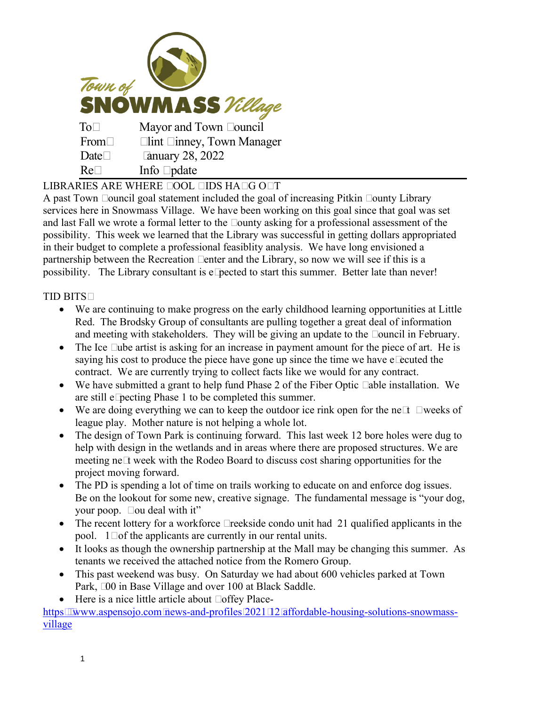

LIBRARIES ARE WHERE COOL KIDS HANG OUT

A past Town Council goal statement included the goal of increasing Pitkin County Library services here in Snowmass Village. We have been working on this goal since that goal was set and last Fall we wrote a formal letter to the County asking for a professional assessment of the possibility. This week we learned that the Library was successful in getting dollars appropriated in their budget to complete a professional feasiblity analysis. We have long envisioned a partnership between the Recreation Center and the Library, so now we will see if this is a possibility. The Library consultant is expected to start this summer. Better late than never!

TID BITS:

- We are continuing to make progress on the early childhood learning opportunities at Little Red. The Brodsky Group of consultants are pulling together a great deal of information and meeting with stakeholders. They will be giving an update to the Council in February.
- The Ice Cube artist is asking for an increase in payment amount for the piece of art. He is saying his cost to produce the piece have gone up since the time we have executed the contract. We are currently trying to collect facts like we would for any contract.
- We have submitted a grant to help fund Phase 2 of the Fiber Optic Cable installation. We are still expecting Phase 1 to be completed this summer.
- We are doing everything we can to keep the outdoor ice rink open for the next 3 weeks of league play. Mother nature is not helping a whole lot.
- The design of Town Park is continuing forward. This last week 12 bore holes were dug to help with design in the wetlands and in areas where there are proposed structures. We are meeting next week with the Rodeo Board to discuss cost sharing opportunities for the project moving forward.
- The PD is spending a lot of time on trails working to educate on and enforce dog issues. Be on the lookout for some new, creative signage. The fundamental message is "your dog, your poop. You deal with it"
- The recent lottery for a workforce Creekside condo unit had 21 qualified applicants in the pool. 14 of the applicants are currently in our rental units.
- It looks as though the ownership partnership at the Mall may be changing this summer. As tenants we received the attached notice from the Romero Group.
- This past weekend was busy. On Saturday we had about 600 vehicles parked at Town Park, 300 in Base Village and over 100 at Black Saddle.
- Here is a nice little article about Coffey Place-

[https://www.aspensojo.com/news-and-profiles/2021/12/affordable-housing-solutions-snowmass](https://www.aspensojo.com/news-and-profiles/2021/12/affordable-housing-solutions-snowmass-village)[village](https://www.aspensojo.com/news-and-profiles/2021/12/affordable-housing-solutions-snowmass-village)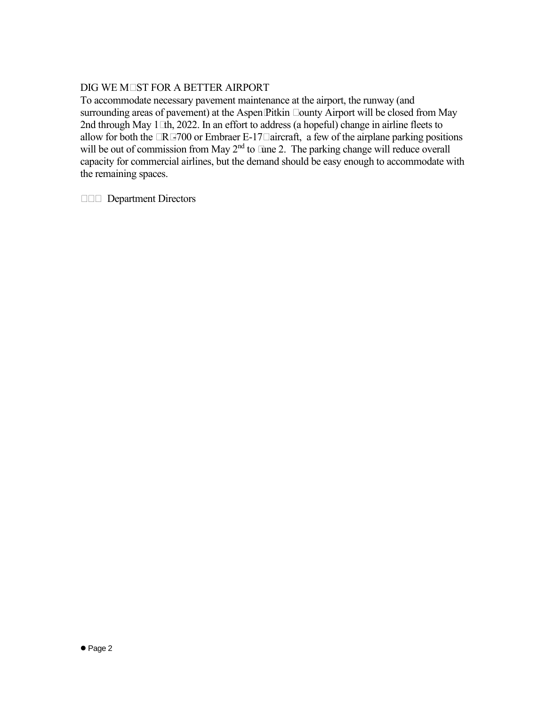## DIG WE MUST FOR A BETTER AIRPORT

To accommodate necessary pavement maintenance at the airport, the runway (and surrounding areas of pavement) at the Aspen/Pitkin County Airport will be closed from May 2nd through May 15th, 2022. In an effort to address (a hopeful) change in airline fleets to allow for both the CRJ-700 or Embraer E-175 aircraft, a few of the airplane parking positions will be out of commission from May  $2<sup>nd</sup>$  to June 2. The parking change will reduce overall capacity for commercial airlines, but the demand should be easy enough to accommodate with the remaining spaces.

CC: Department Directors